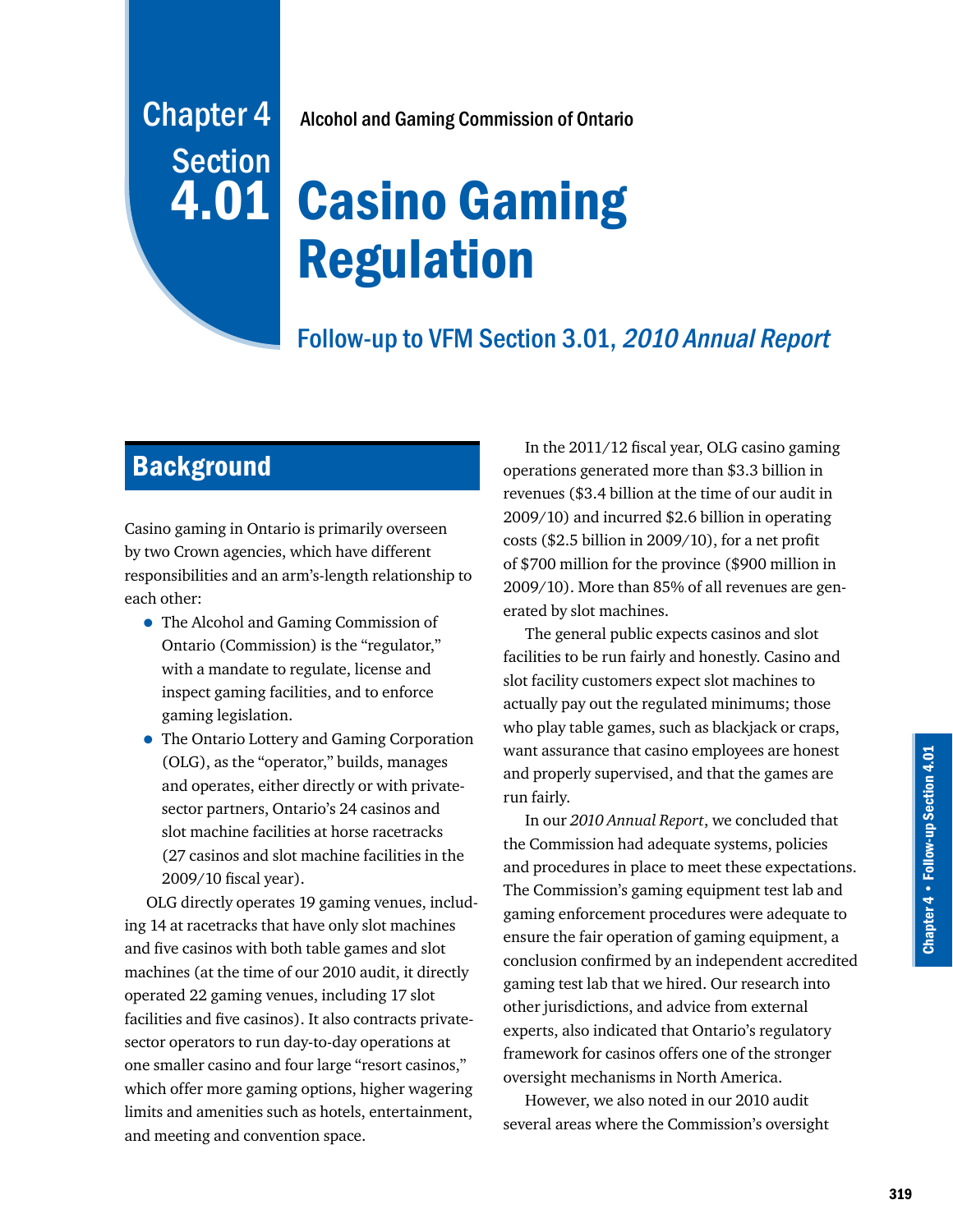# Chapter 4 Alcohol and Gaming Commission of Ontario

# Casino Gaming Regulation

# Follow-up to VFM Section 3.01, 2010 Annual Report

# **Background**

**Section** 

4.01

Casino gaming in Ontario is primarily overseen by two Crown agencies, which have different responsibilities and an arm's-length relationship to each other:

- The Alcohol and Gaming Commission of Ontario (Commission) is the "regulator," with a mandate to regulate, license and inspect gaming facilities, and to enforce gaming legislation.
- The Ontario Lottery and Gaming Corporation (OLG), as the "operator," builds, manages and operates, either directly or with privatesector partners, Ontario's 24 casinos and slot machine facilities at horse racetracks (27 casinos and slot machine facilities in the 2009/10 fiscal year).

OLG directly operates 19 gaming venues, including 14 at racetracks that have only slot machines and five casinos with both table games and slot machines (at the time of our 2010 audit, it directly operated 22 gaming venues, including 17 slot facilities and five casinos). It also contracts privatesector operators to run day-to-day operations at one smaller casino and four large "resort casinos," which offer more gaming options, higher wagering limits and amenities such as hotels, entertainment, and meeting and convention space.

In the 2011/12 fiscal year, OLG casino gaming operations generated more than \$3.3 billion in revenues (\$3.4 billion at the time of our audit in 2009/10) and incurred \$2.6 billion in operating costs (\$2.5 billion in 2009/10), for a net profit of \$700 million for the province (\$900 million in 2009/10). More than 85% of all revenues are generated by slot machines.

The general public expects casinos and slot facilities to be run fairly and honestly. Casino and slot facility customers expect slot machines to actually pay out the regulated minimums; those who play table games, such as blackjack or craps, want assurance that casino employees are honest and properly supervised, and that the games are run fairly.

In our *2010 Annual Report*, we concluded that the Commission had adequate systems, policies and procedures in place to meet these expectations. The Commission's gaming equipment test lab and gaming enforcement procedures were adequate to ensure the fair operation of gaming equipment, a conclusion confirmed by an independent accredited gaming test lab that we hired. Our research into other jurisdictions, and advice from external experts, also indicated that Ontario's regulatory framework for casinos offers one of the stronger oversight mechanisms in North America.

However, we also noted in our 2010 audit several areas where the Commission's oversight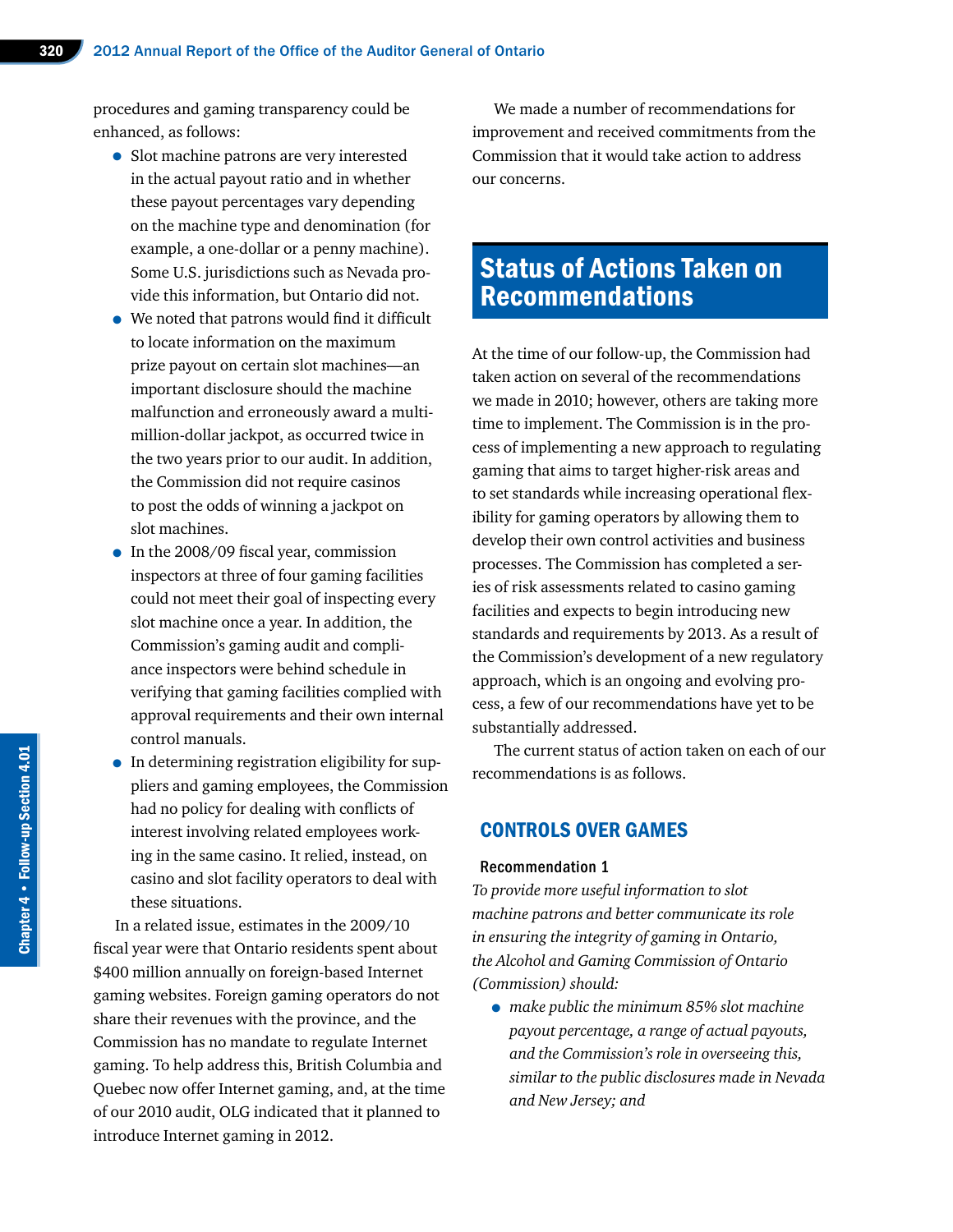procedures and gaming transparency could be enhanced, as follows:

- Slot machine patrons are very interested in the actual payout ratio and in whether these payout percentages vary depending on the machine type and denomination (for example, a one-dollar or a penny machine). Some U.S. jurisdictions such as Nevada provide this information, but Ontario did not.
- We noted that patrons would find it difficult to locate information on the maximum prize payout on certain slot machines—an important disclosure should the machine malfunction and erroneously award a multimillion-dollar jackpot, as occurred twice in the two years prior to our audit. In addition, the Commission did not require casinos to post the odds of winning a jackpot on slot machines.
- In the 2008/09 fiscal year, commission inspectors at three of four gaming facilities could not meet their goal of inspecting every slot machine once a year. In addition, the Commission's gaming audit and compliance inspectors were behind schedule in verifying that gaming facilities complied with approval requirements and their own internal control manuals.
- In determining registration eligibility for suppliers and gaming employees, the Commission had no policy for dealing with conflicts of interest involving related employees working in the same casino. It relied, instead, on casino and slot facility operators to deal with these situations.

In a related issue, estimates in the 2009/10 fiscal year were that Ontario residents spent about \$400 million annually on foreign-based Internet gaming websites. Foreign gaming operators do not share their revenues with the province, and the Commission has no mandate to regulate Internet gaming. To help address this, British Columbia and Quebec now offer Internet gaming, and, at the time of our 2010 audit, OLG indicated that it planned to introduce Internet gaming in 2012.

We made a number of recommendations for improvement and received commitments from the Commission that it would take action to address our concerns.

# Status of Actions Taken on Recommendations

At the time of our follow-up, the Commission had taken action on several of the recommendations we made in 2010; however, others are taking more time to implement. The Commission is in the process of implementing a new approach to regulating gaming that aims to target higher-risk areas and to set standards while increasing operational flexibility for gaming operators by allowing them to develop their own control activities and business processes. The Commission has completed a series of risk assessments related to casino gaming facilities and expects to begin introducing new standards and requirements by 2013. As a result of the Commission's development of a new regulatory approach, which is an ongoing and evolving process, a few of our recommendations have yet to be substantially addressed.

The current status of action taken on each of our recommendations is as follows.

## CONTROLS OVER GAMES

#### Recommendation 1

*To provide more useful information to slot machine patrons and better communicate its role in ensuring the integrity of gaming in Ontario, the Alcohol and Gaming Commission of Ontario (Commission) should:*

• *make public the minimum 85% slot machine payout percentage, a range of actual payouts, and the Commission's role in overseeing this, similar to the public disclosures made in Nevada and New Jersey; and*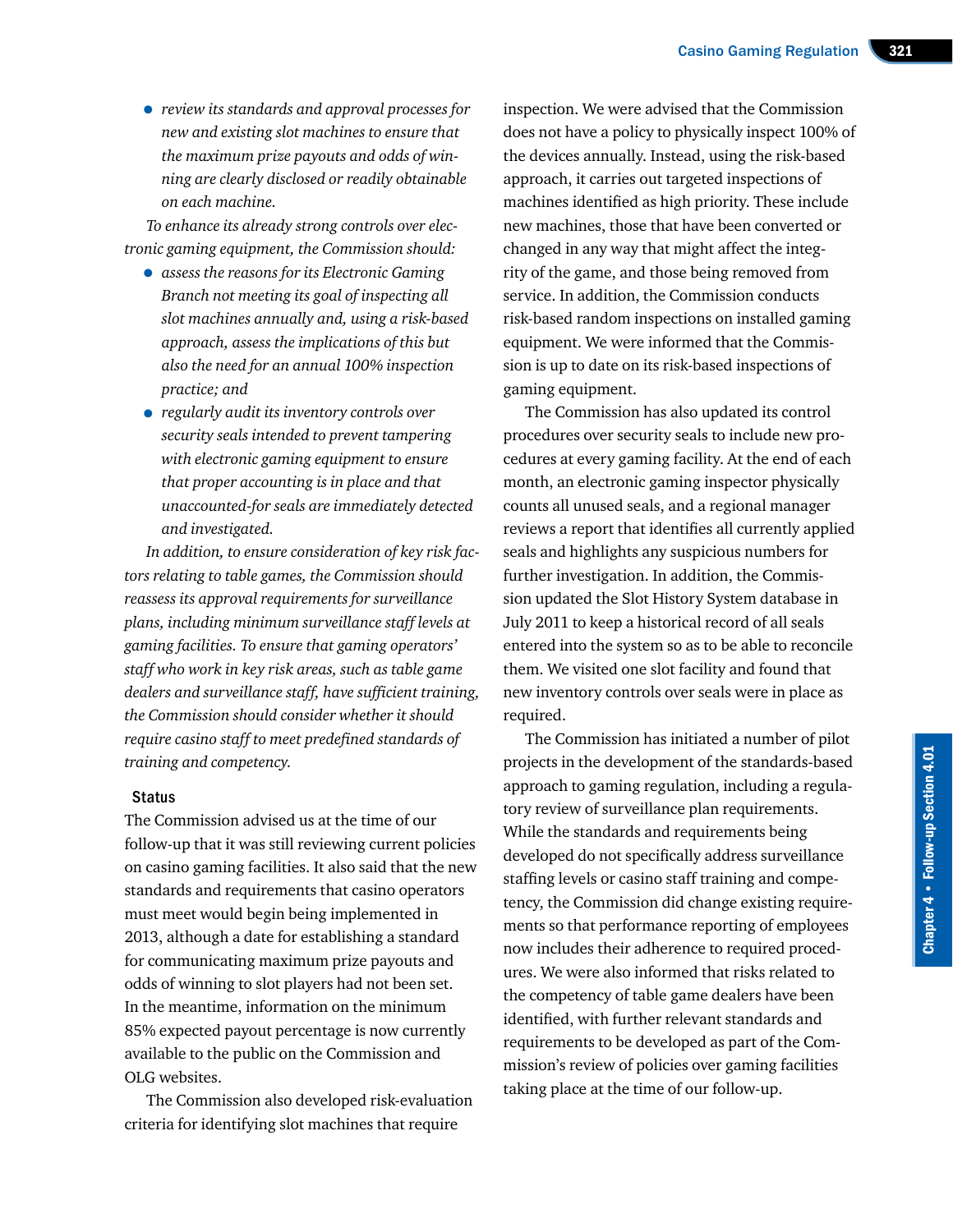• *review its standards and approval processes for new and existing slot machines to ensure that the maximum prize payouts and odds of winning are clearly disclosed or readily obtainable on each machine.*

*To enhance its already strong controls over electronic gaming equipment, the Commission should:*

- *assess the reasons for its Electronic Gaming Branch not meeting its goal of inspecting all slot machines annually and, using a risk-based approach, assess the implications of this but also the need for an annual 100% inspection practice; and*
- *regularly audit its inventory controls over security seals intended to prevent tampering with electronic gaming equipment to ensure that proper accounting is in place and that unaccounted-for seals are immediately detected and investigated.*

*In addition, to ensure consideration of key risk factors relating to table games, the Commission should reassess its approval requirements for surveillance plans, including minimum surveillance staff levels at gaming facilities. To ensure that gaming operators' staff who work in key risk areas, such as table game dealers and surveillance staff, have sufficient training, the Commission should consider whether it should require casino staff to meet predefined standards of training and competency.*

#### **Status**

The Commission advised us at the time of our follow-up that it was still reviewing current policies on casino gaming facilities. It also said that the new standards and requirements that casino operators must meet would begin being implemented in 2013, although a date for establishing a standard for communicating maximum prize payouts and odds of winning to slot players had not been set. In the meantime, information on the minimum 85% expected payout percentage is now currently available to the public on the Commission and OLG websites.

The Commission also developed risk-evaluation criteria for identifying slot machines that require

inspection. We were advised that the Commission does not have a policy to physically inspect 100% of the devices annually. Instead, using the risk-based approach, it carries out targeted inspections of machines identified as high priority. These include new machines, those that have been converted or changed in any way that might affect the integrity of the game, and those being removed from service. In addition, the Commission conducts risk-based random inspections on installed gaming equipment. We were informed that the Commission is up to date on its risk-based inspections of gaming equipment.

The Commission has also updated its control procedures over security seals to include new procedures at every gaming facility. At the end of each month, an electronic gaming inspector physically counts all unused seals, and a regional manager reviews a report that identifies all currently applied seals and highlights any suspicious numbers for further investigation. In addition, the Commission updated the Slot History System database in July 2011 to keep a historical record of all seals entered into the system so as to be able to reconcile them. We visited one slot facility and found that new inventory controls over seals were in place as required.

The Commission has initiated a number of pilot projects in the development of the standards-based approach to gaming regulation, including a regulatory review of surveillance plan requirements. While the standards and requirements being developed do not specifically address surveillance staffing levels or casino staff training and competency, the Commission did change existing requirements so that performance reporting of employees now includes their adherence to required procedures. We were also informed that risks related to the competency of table game dealers have been identified, with further relevant standards and requirements to be developed as part of the Commission's review of policies over gaming facilities taking place at the time of our follow-up.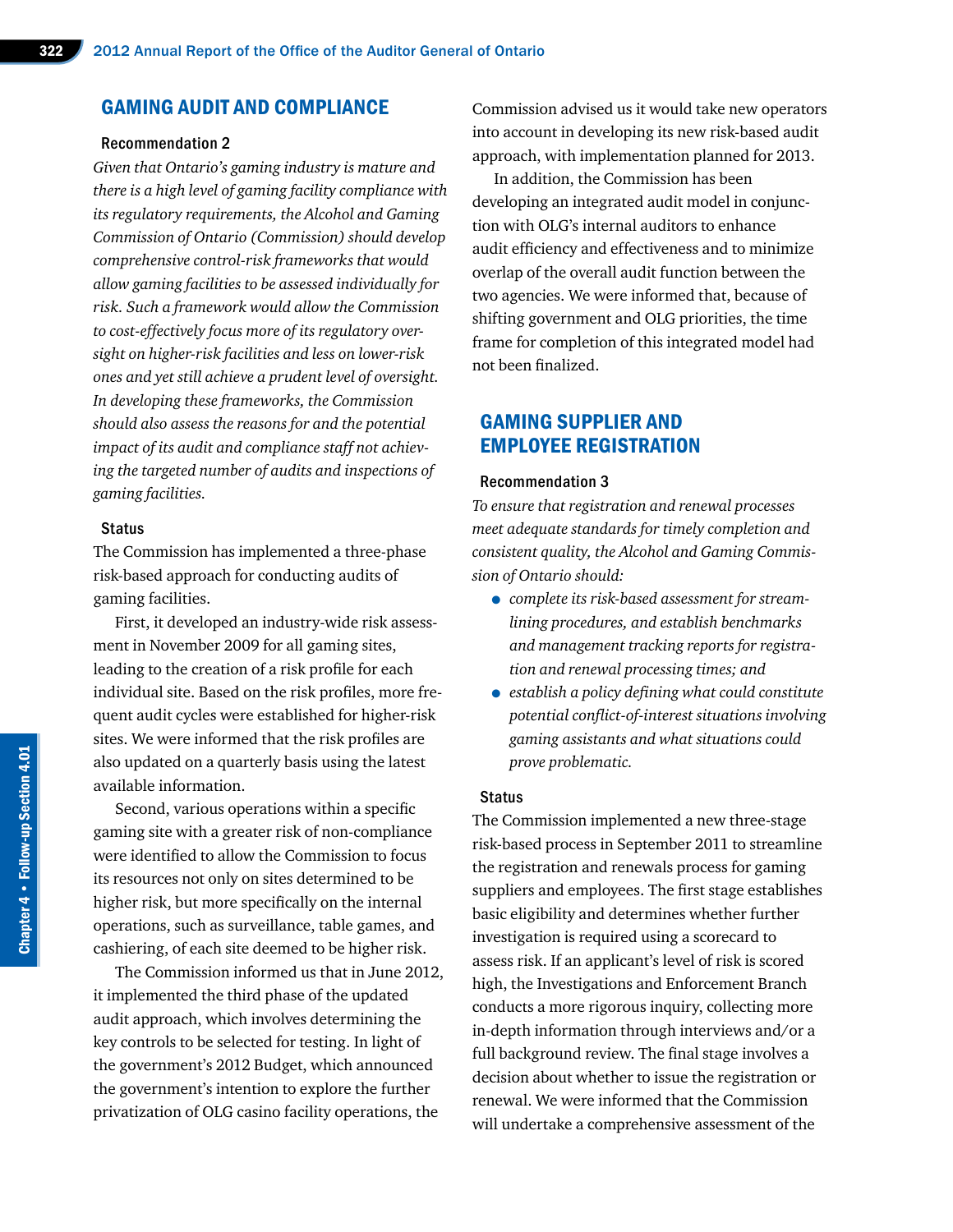## GAMING AUDIT AND COMPLIANCE

#### Recommendation 2

*Given that Ontario's gaming industry is mature and there is a high level of gaming facility compliance with its regulatory requirements, the Alcohol and Gaming Commission of Ontario (Commission) should develop comprehensive control-risk frameworks that would allow gaming facilities to be assessed individually for risk. Such a framework would allow the Commission to cost-effectively focus more of its regulatory oversight on higher-risk facilities and less on lower-risk ones and yet still achieve a prudent level of oversight. In developing these frameworks, the Commission should also assess the reasons for and the potential impact of its audit and compliance staff not achieving the targeted number of audits and inspections of gaming facilities.*

#### **Status**

The Commission has implemented a three-phase risk-based approach for conducting audits of gaming facilities.

First, it developed an industry-wide risk assessment in November 2009 for all gaming sites, leading to the creation of a risk profile for each individual site. Based on the risk profiles, more frequent audit cycles were established for higher-risk sites. We were informed that the risk profiles are also updated on a quarterly basis using the latest available information.

Second, various operations within a specific gaming site with a greater risk of non-compliance were identified to allow the Commission to focus its resources not only on sites determined to be higher risk, but more specifically on the internal operations, such as surveillance, table games, and cashiering, of each site deemed to be higher risk.

The Commission informed us that in June 2012, it implemented the third phase of the updated audit approach, which involves determining the key controls to be selected for testing. In light of the government's 2012 Budget, which announced the government's intention to explore the further privatization of OLG casino facility operations, the

Commission advised us it would take new operators into account in developing its new risk-based audit approach, with implementation planned for 2013.

In addition, the Commission has been developing an integrated audit model in conjunction with OLG's internal auditors to enhance audit efficiency and effectiveness and to minimize overlap of the overall audit function between the two agencies. We were informed that, because of shifting government and OLG priorities, the time frame for completion of this integrated model had not been finalized.

## GAMING SUPPLIER AND EMPLOYEE REGISTRATION

#### Recommendation 3

*To ensure that registration and renewal processes meet adequate standards for timely completion and consistent quality, the Alcohol and Gaming Commission of Ontario should:*

- *complete its risk-based assessment for streamlining procedures, and establish benchmarks and management tracking reports for registration and renewal processing times; and*
- *establish a policy defining what could constitute potential conflict-of-interest situations involving gaming assistants and what situations could prove problematic.*

#### **Status**

The Commission implemented a new three-stage risk-based process in September 2011 to streamline the registration and renewals process for gaming suppliers and employees. The first stage establishes basic eligibility and determines whether further investigation is required using a scorecard to assess risk. If an applicant's level of risk is scored high, the Investigations and Enforcement Branch conducts a more rigorous inquiry, collecting more in-depth information through interviews and/or a full background review. The final stage involves a decision about whether to issue the registration or renewal. We were informed that the Commission will undertake a comprehensive assessment of the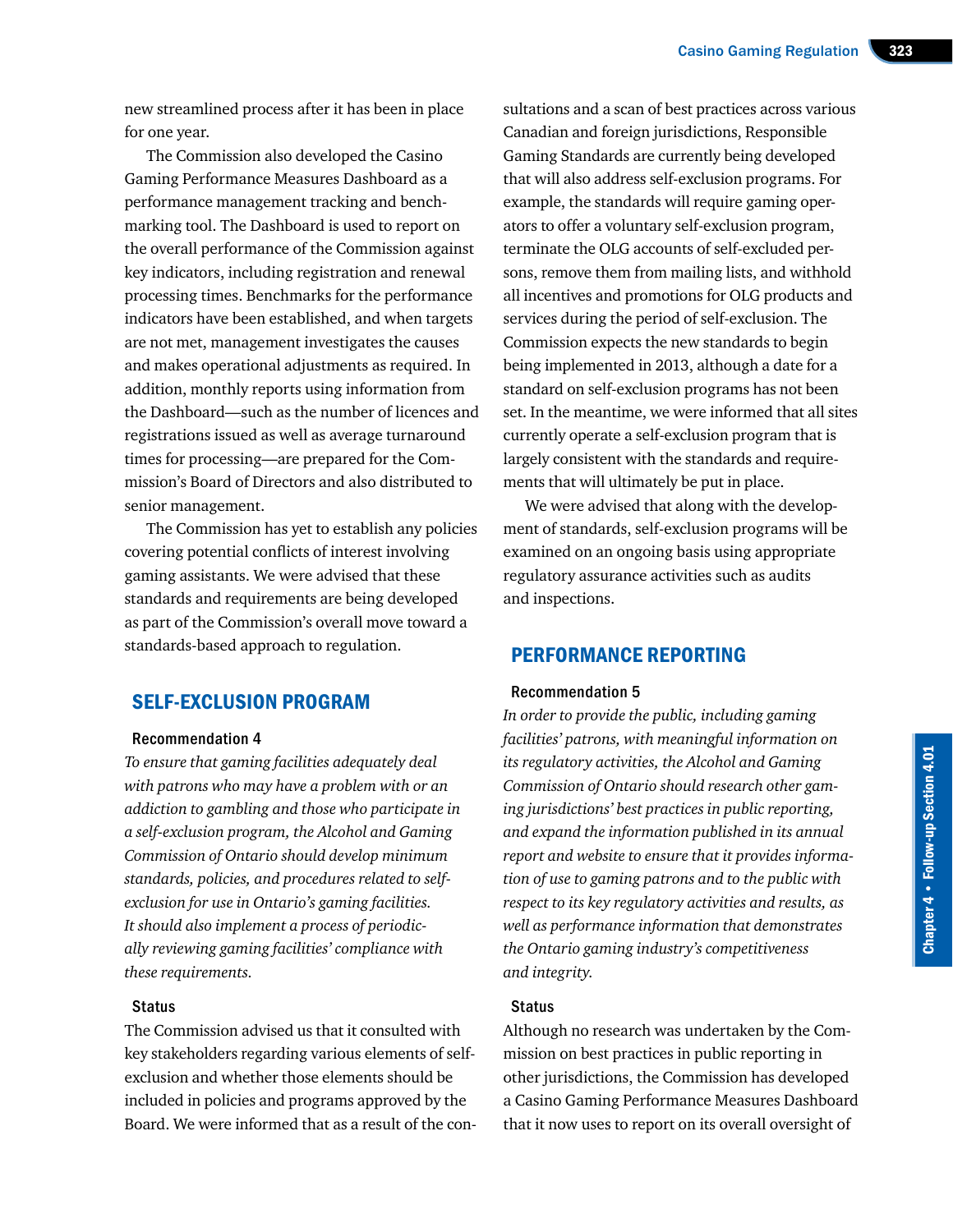new streamlined process after it has been in place for one year.

The Commission also developed the Casino Gaming Performance Measures Dashboard as a performance management tracking and benchmarking tool. The Dashboard is used to report on the overall performance of the Commission against key indicators, including registration and renewal processing times. Benchmarks for the performance indicators have been established, and when targets are not met, management investigates the causes and makes operational adjustments as required. In addition, monthly reports using information from the Dashboard—such as the number of licences and registrations issued as well as average turnaround times for processing—are prepared for the Commission's Board of Directors and also distributed to senior management.

The Commission has yet to establish any policies covering potential conflicts of interest involving gaming assistants. We were advised that these standards and requirements are being developed as part of the Commission's overall move toward a standards-based approach to regulation.

## SELF-EXCLUSION PROGRAM

#### Recommendation 4

*To ensure that gaming facilities adequately deal with patrons who may have a problem with or an addiction to gambling and those who participate in a self-exclusion program, the Alcohol and Gaming Commission of Ontario should develop minimum standards, policies, and procedures related to selfexclusion for use in Ontario's gaming facilities. It should also implement a process of periodically reviewing gaming facilities' compliance with these requirements.*

#### **Status**

The Commission advised us that it consulted with key stakeholders regarding various elements of selfexclusion and whether those elements should be included in policies and programs approved by the Board. We were informed that as a result of the con-

sultations and a scan of best practices across various Canadian and foreign jurisdictions, Responsible Gaming Standards are currently being developed that will also address self-exclusion programs. For example, the standards will require gaming operators to offer a voluntary self-exclusion program, terminate the OLG accounts of self-excluded persons, remove them from mailing lists, and withhold all incentives and promotions for OLG products and services during the period of self-exclusion. The Commission expects the new standards to begin being implemented in 2013, although a date for a standard on self-exclusion programs has not been set. In the meantime, we were informed that all sites currently operate a self-exclusion program that is largely consistent with the standards and requirements that will ultimately be put in place.

We were advised that along with the development of standards, self-exclusion programs will be examined on an ongoing basis using appropriate regulatory assurance activities such as audits and inspections.

### PERFORMANCE REPORTING

#### Recommendation 5

*In order to provide the public, including gaming facilities' patrons, with meaningful information on its regulatory activities, the Alcohol and Gaming Commission of Ontario should research other gaming jurisdictions' best practices in public reporting, and expand the information published in its annual report and website to ensure that it provides information of use to gaming patrons and to the public with respect to its key regulatory activities and results, as well as performance information that demonstrates the Ontario gaming industry's competitiveness and integrity.*

#### **Status**

Although no research was undertaken by the Commission on best practices in public reporting in other jurisdictions, the Commission has developed a Casino Gaming Performance Measures Dashboard that it now uses to report on its overall oversight of